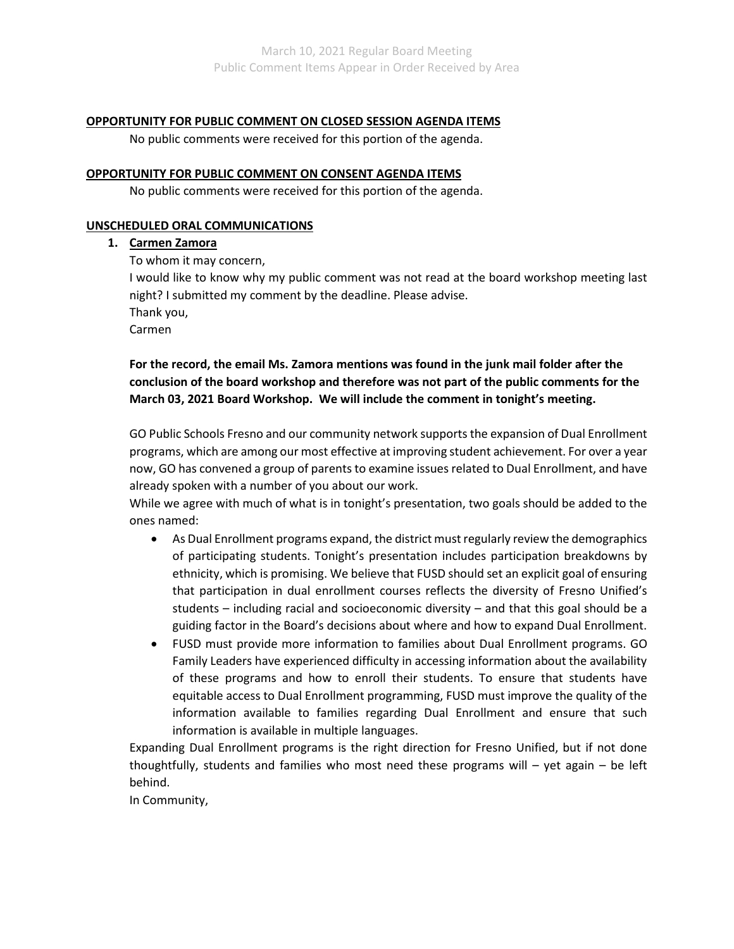## **OPPORTUNITY FOR PUBLIC COMMENT ON CLOSED SESSION AGENDA ITEMS**

No public comments were received for this portion of the agenda.

## **OPPORTUNITY FOR PUBLIC COMMENT ON CONSENT AGENDA ITEMS**

No public comments were received for this portion of the agenda.

## **UNSCHEDULED ORAL COMMUNICATIONS**

## **1. Carmen Zamora**

To whom it may concern,

I would like to know why my public comment was not read at the board workshop meeting last night? I submitted my comment by the deadline. Please advise.

Thank you,

Carmen

# **For the record, the email Ms. Zamora mentions was found in the junk mail folder after the conclusion of the board workshop and therefore was not part of the public comments for the March 03, 2021 Board Workshop. We will include the comment in tonight's meeting.**

GO Public Schools Fresno and our community network supports the expansion of Dual Enrollment programs, which are among our most effective at improving student achievement. For over a year now, GO has convened a group of parents to examine issues related to Dual Enrollment, and have already spoken with a number of you about our work.

While we agree with much of what is in tonight's presentation, two goals should be added to the ones named:

- As Dual Enrollment programs expand, the district must regularly review the demographics of participating students. Tonight's presentation includes participation breakdowns by ethnicity, which is promising. We believe that FUSD should set an explicit goal of ensuring that participation in dual enrollment courses reflects the diversity of Fresno Unified's students – including racial and socioeconomic diversity – and that this goal should be a guiding factor in the Board's decisions about where and how to expand Dual Enrollment.
- FUSD must provide more information to families about Dual Enrollment programs. GO Family Leaders have experienced difficulty in accessing information about the availability of these programs and how to enroll their students. To ensure that students have equitable access to Dual Enrollment programming, FUSD must improve the quality of the information available to families regarding Dual Enrollment and ensure that such information is available in multiple languages.

Expanding Dual Enrollment programs is the right direction for Fresno Unified, but if not done thoughtfully, students and families who most need these programs will – yet again – be left behind.

In Community,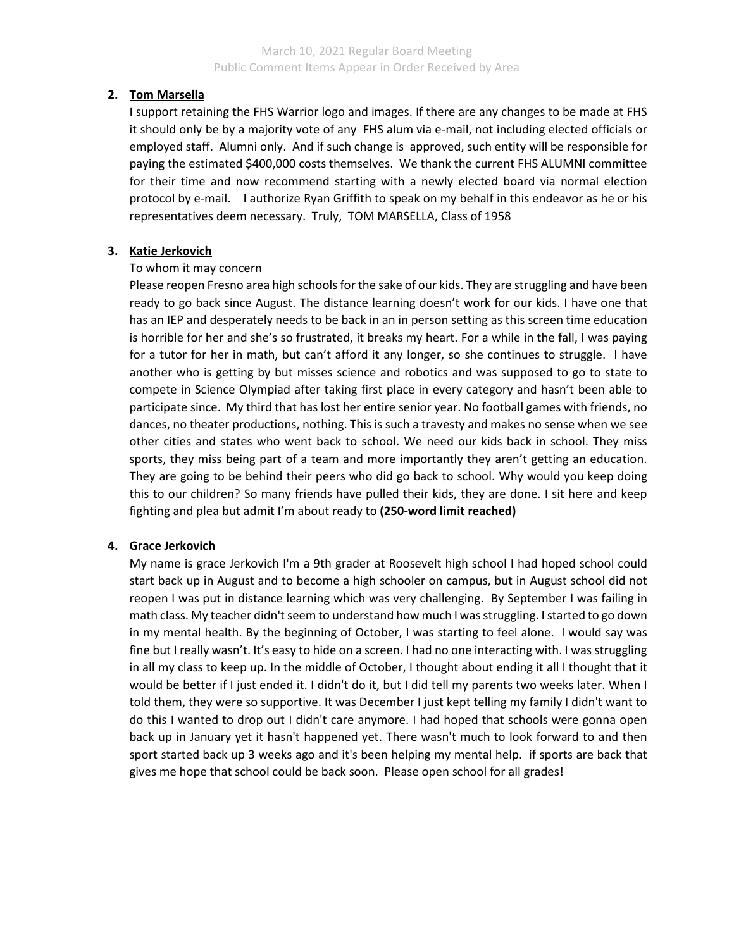# **2. Tom Marsella**

I support retaining the FHS Warrior logo and images. If there are any changes to be made at FHS it should only be by a majority vote of any FHS alum via e-mail, not including elected officials or employed staff. Alumni only. And if such change is approved, such entity will be responsible for paying the estimated \$400,000 costs themselves. We thank the current FHS ALUMNI committee for their time and now recommend starting with a newly elected board via normal election protocol by e-mail. I authorize Ryan Griffith to speak on my behalf in this endeavor as he or his representatives deem necessary. Truly, TOM MARSELLA, Class of 1958

# **3. Katie Jerkovich**

## To whom it may concern

Please reopen Fresno area high schools for the sake of our kids. They are struggling and have been ready to go back since August. The distance learning doesn't work for our kids. I have one that has an IEP and desperately needs to be back in an in person setting as this screen time education is horrible for her and she's so frustrated, it breaks my heart. For a while in the fall, I was paying for a tutor for her in math, but can't afford it any longer, so she continues to struggle. I have another who is getting by but misses science and robotics and was supposed to go to state to compete in Science Olympiad after taking first place in every category and hasn't been able to participate since. My third that has lost her entire senior year. No football games with friends, no dances, no theater productions, nothing. This is such a travesty and makes no sense when we see other cities and states who went back to school. We need our kids back in school. They miss sports, they miss being part of a team and more importantly they aren't getting an education. They are going to be behind their peers who did go back to school. Why would you keep doing this to our children? So many friends have pulled their kids, they are done. I sit here and keep fighting and plea but admit I'm about ready to **(250-word limit reached)**

## **4. Grace Jerkovich**

My name is grace Jerkovich I'm a 9th grader at Roosevelt high school I had hoped school could start back up in August and to become a high schooler on campus, but in August school did not reopen I was put in distance learning which was very challenging. By September I was failing in math class. My teacher didn't seem to understand how much I was struggling. I started to go down in my mental health. By the beginning of October, I was starting to feel alone. I would say was fine but I really wasn't. It's easy to hide on a screen. I had no one interacting with. I was struggling in all my class to keep up. In the middle of October, I thought about ending it all I thought that it would be better if I just ended it. I didn't do it, but I did tell my parents two weeks later. When I told them, they were so supportive. It was December I just kept telling my family I didn't want to do this I wanted to drop out I didn't care anymore. I had hoped that schools were gonna open back up in January yet it hasn't happened yet. There wasn't much to look forward to and then sport started back up 3 weeks ago and it's been helping my mental help. if sports are back that gives me hope that school could be back soon. Please open school for all grades!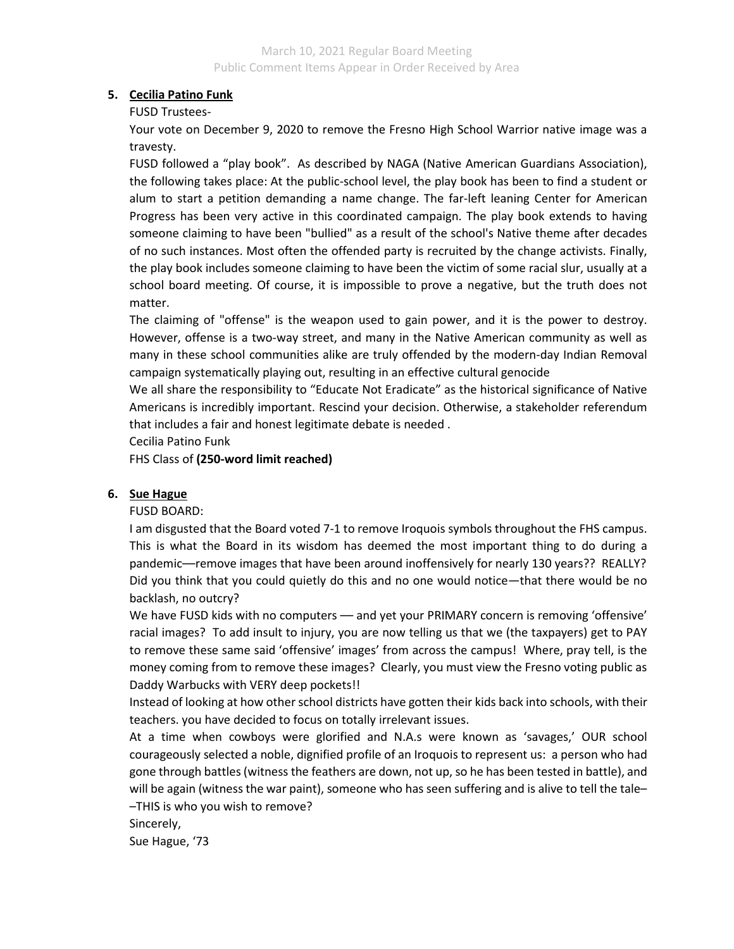## **5. Cecilia Patino Funk**

FUSD Trustees-

Your vote on December 9, 2020 to remove the Fresno High School Warrior native image was a travesty.

FUSD followed a "play book". As described by NAGA (Native American Guardians Association), the following takes place: At the public-school level, the play book has been to find a student or alum to start a petition demanding a name change. The far-left leaning Center for American Progress has been very active in this coordinated campaign. The play book extends to having someone claiming to have been "bullied" as a result of the school's Native theme after decades of no such instances. Most often the offended party is recruited by the change activists. Finally, the play book includes someone claiming to have been the victim of some racial slur, usually at a school board meeting. Of course, it is impossible to prove a negative, but the truth does not matter.

The claiming of "offense" is the weapon used to gain power, and it is the power to destroy. However, offense is a two-way street, and many in the Native American community as well as many in these school communities alike are truly offended by the modern-day Indian Removal campaign systematically playing out, resulting in an effective cultural genocide

We all share the responsibility to "Educate Not Eradicate" as the historical significance of Native Americans is incredibly important. Rescind your decision. Otherwise, a stakeholder referendum that includes a fair and honest legitimate debate is needed .

Cecilia Patino Funk

FHS Class of **(250-word limit reached)**

# **6. Sue Hague**

## FUSD BOARD:

I am disgusted that the Board voted 7-1 to remove Iroquois symbols throughout the FHS campus. This is what the Board in its wisdom has deemed the most important thing to do during a pandemic––remove images that have been around inoffensively for nearly 130 years?? REALLY? Did you think that you could quietly do this and no one would notice—that there would be no backlash, no outcry?

We have FUSD kids with no computers — and yet your PRIMARY concern is removing 'offensive' racial images? To add insult to injury, you are now telling us that we (the taxpayers) get to PAY to remove these same said 'offensive' images' from across the campus! Where, pray tell, is the money coming from to remove these images? Clearly, you must view the Fresno voting public as Daddy Warbucks with VERY deep pockets!!

Instead of looking at how other school districts have gotten their kids back into schools, with their teachers. you have decided to focus on totally irrelevant issues.

At a time when cowboys were glorified and N.A.s were known as 'savages,' OUR school courageously selected a noble, dignified profile of an Iroquois to represent us: a person who had gone through battles (witness the feathers are down, not up, so he has been tested in battle), and will be again (witness the war paint), someone who has seen suffering and is alive to tell the tale– –THIS is who you wish to remove?

Sincerely,

Sue Hague, '73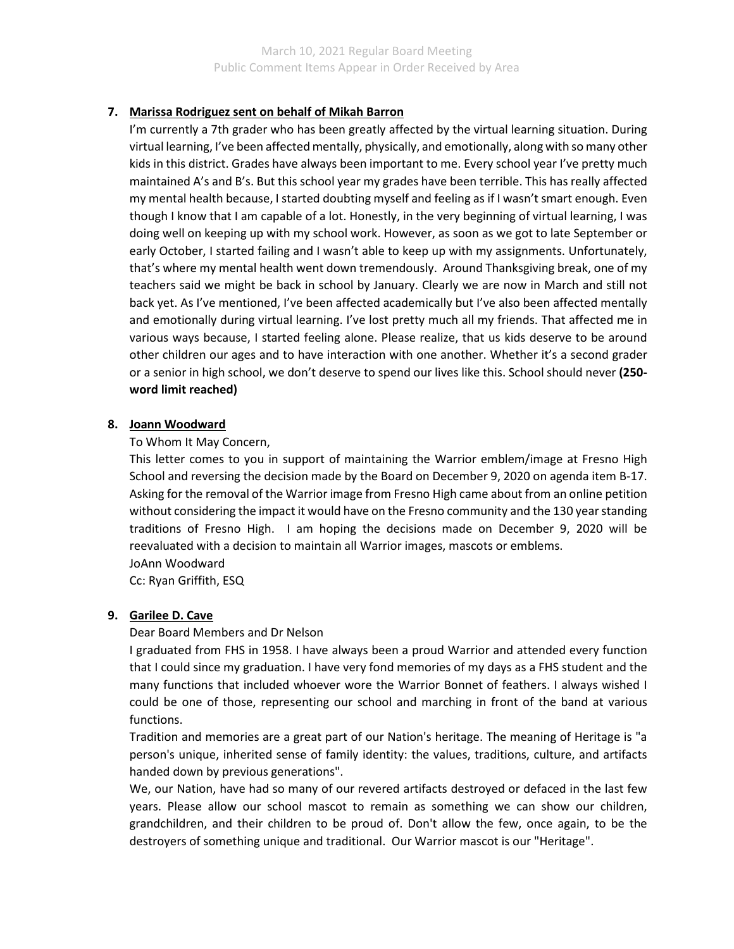# **7. Marissa Rodriguez sent on behalf of Mikah Barron**

I'm currently a 7th grader who has been greatly affected by the virtual learning situation. During virtual learning, I've been affected mentally, physically, and emotionally, along with so many other kids in this district. Grades have always been important to me. Every school year I've pretty much maintained A's and B's. But this school year my grades have been terrible. This has really affected my mental health because, I started doubting myself and feeling as if I wasn't smart enough. Even though I know that I am capable of a lot. Honestly, in the very beginning of virtual learning, I was doing well on keeping up with my school work. However, as soon as we got to late September or early October, I started failing and I wasn't able to keep up with my assignments. Unfortunately, that's where my mental health went down tremendously. Around Thanksgiving break, one of my teachers said we might be back in school by January. Clearly we are now in March and still not back yet. As I've mentioned, I've been affected academically but I've also been affected mentally and emotionally during virtual learning. I've lost pretty much all my friends. That affected me in various ways because, I started feeling alone. Please realize, that us kids deserve to be around other children our ages and to have interaction with one another. Whether it's a second grader or a senior in high school, we don't deserve to spend our lives like this. School should never **(250 word limit reached)**

## **8. Joann Woodward**

## To Whom It May Concern,

This letter comes to you in support of maintaining the Warrior emblem/image at Fresno High School and reversing the decision made by the Board on December 9, 2020 on agenda item B-17. Asking for the removal of the Warrior image from Fresno High came about from an online petition without considering the impact it would have on the Fresno community and the 130 year standing traditions of Fresno High. I am hoping the decisions made on December 9, 2020 will be reevaluated with a decision to maintain all Warrior images, mascots or emblems. JoAnn Woodward

Cc: Ryan Griffith, ESQ

## **9. Garilee D. Cave**

Dear Board Members and Dr Nelson

I graduated from FHS in 1958. I have always been a proud Warrior and attended every function that I could since my graduation. I have very fond memories of my days as a FHS student and the many functions that included whoever wore the Warrior Bonnet of feathers. I always wished I could be one of those, representing our school and marching in front of the band at various functions.

Tradition and memories are a great part of our Nation's heritage. The meaning of Heritage is "a person's unique, inherited sense of family identity: the values, traditions, culture, and artifacts handed down by previous generations".

We, our Nation, have had so many of our revered artifacts destroyed or defaced in the last few years. Please allow our school mascot to remain as something we can show our children, grandchildren, and their children to be proud of. Don't allow the few, once again, to be the destroyers of something unique and traditional. Our Warrior mascot is our "Heritage".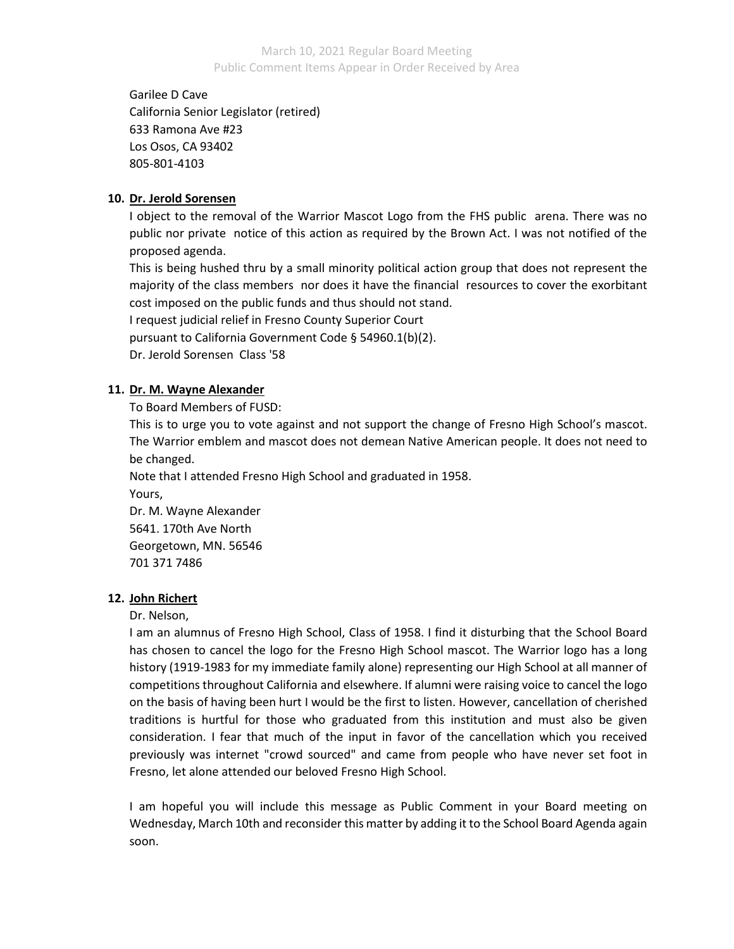Garilee D Cave California Senior Legislator (retired) 633 Ramona Ave #23 Los Osos, CA 93402 805-801-4103

## **10. Dr. Jerold Sorensen**

I object to the removal of the Warrior Mascot Logo from the FHS public arena. There was no public nor private notice of this action as required by the Brown Act. I was not notified of the proposed agenda.

This is being hushed thru by a small minority political action group that does not represent the majority of the class members nor does it have the financial resources to cover the exorbitant cost imposed on the public funds and thus should not stand.

I request judicial relief in Fresno County Superior Court

pursuant to California Government Code § 54960.1(b)(2).

Dr. Jerold Sorensen Class '58

# **11. Dr. M. Wayne Alexander**

To Board Members of FUSD:

This is to urge you to vote against and not support the change of Fresno High School's mascot. The Warrior emblem and mascot does not demean Native American people. It does not need to be changed.

Note that I attended Fresno High School and graduated in 1958.

Yours,

Dr. M. Wayne Alexander 5641. 170th Ave North Georgetown, MN. 56546 701 371 7486

# **12. John Richert**

Dr. Nelson,

I am an alumnus of Fresno High School, Class of 1958. I find it disturbing that the School Board has chosen to cancel the logo for the Fresno High School mascot. The Warrior logo has a long history (1919-1983 for my immediate family alone) representing our High School at all manner of competitions throughout California and elsewhere. If alumni were raising voice to cancel the logo on the basis of having been hurt I would be the first to listen. However, cancellation of cherished traditions is hurtful for those who graduated from this institution and must also be given consideration. I fear that much of the input in favor of the cancellation which you received previously was internet "crowd sourced" and came from people who have never set foot in Fresno, let alone attended our beloved Fresno High School.

I am hopeful you will include this message as Public Comment in your Board meeting on Wednesday, March 10th and reconsider this matter by adding it to the School Board Agenda again soon.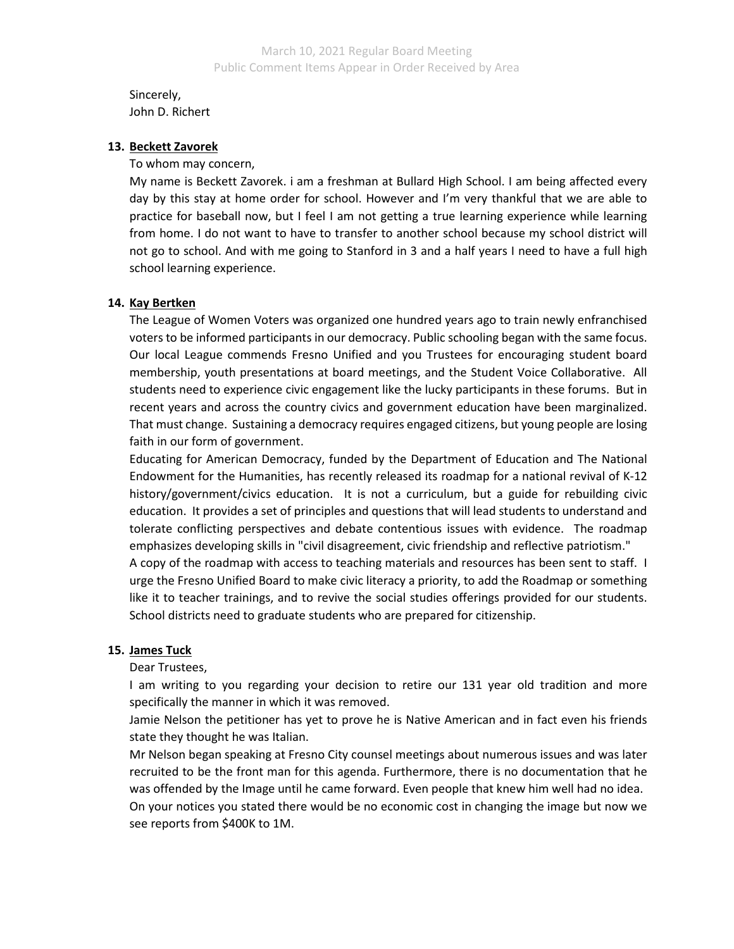Sincerely, John D. Richert

#### **13. Beckett Zavorek**

To whom may concern,

My name is Beckett Zavorek. i am a freshman at Bullard High School. I am being affected every day by this stay at home order for school. However and I'm very thankful that we are able to practice for baseball now, but I feel I am not getting a true learning experience while learning from home. I do not want to have to transfer to another school because my school district will not go to school. And with me going to Stanford in 3 and a half years I need to have a full high school learning experience.

#### **14. Kay Bertken**

The League of Women Voters was organized one hundred years ago to train newly enfranchised voters to be informed participants in our democracy. Public schooling began with the same focus. Our local League commends Fresno Unified and you Trustees for encouraging student board membership, youth presentations at board meetings, and the Student Voice Collaborative. All students need to experience civic engagement like the lucky participants in these forums. But in recent years and across the country civics and government education have been marginalized. That must change. Sustaining a democracy requires engaged citizens, but young people are losing faith in our form of government.

Educating for American Democracy, funded by the Department of Education and The National Endowment for the Humanities, has recently released its roadmap for a national revival of K-12 history/government/civics education. It is not a curriculum, but a guide for rebuilding civic education. It provides a set of principles and questions that will lead students to understand and tolerate conflicting perspectives and debate contentious issues with evidence. The roadmap emphasizes developing skills in "civil disagreement, civic friendship and reflective patriotism."

A copy of the roadmap with access to teaching materials and resources has been sent to staff. I urge the Fresno Unified Board to make civic literacy a priority, to add the Roadmap or something like it to teacher trainings, and to revive the social studies offerings provided for our students. School districts need to graduate students who are prepared for citizenship.

#### **15. James Tuck**

Dear Trustees,

I am writing to you regarding your decision to retire our 131 year old tradition and more specifically the manner in which it was removed.

Jamie Nelson the petitioner has yet to prove he is Native American and in fact even his friends state they thought he was Italian.

Mr Nelson began speaking at Fresno City counsel meetings about numerous issues and was later recruited to be the front man for this agenda. Furthermore, there is no documentation that he was offended by the Image until he came forward. Even people that knew him well had no idea. On your notices you stated there would be no economic cost in changing the image but now we see reports from \$400K to 1M.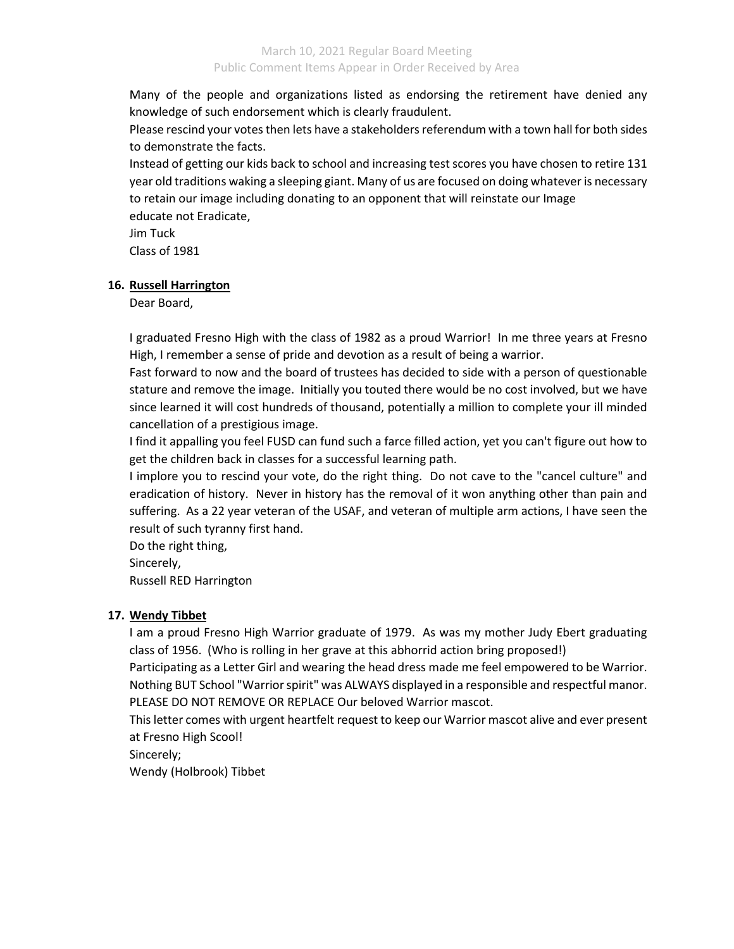Many of the people and organizations listed as endorsing the retirement have denied any knowledge of such endorsement which is clearly fraudulent.

Please rescind your votes then lets have a stakeholders referendum with a town hall for both sides to demonstrate the facts.

Instead of getting our kids back to school and increasing test scores you have chosen to retire 131 year old traditions waking a sleeping giant. Many of us are focused on doing whatever is necessary to retain our image including donating to an opponent that will reinstate our Image educate not Eradicate,

Jim Tuck

Class of 1981

## **16. Russell Harrington**

Dear Board,

I graduated Fresno High with the class of 1982 as a proud Warrior! In me three years at Fresno High, I remember a sense of pride and devotion as a result of being a warrior.

Fast forward to now and the board of trustees has decided to side with a person of questionable stature and remove the image. Initially you touted there would be no cost involved, but we have since learned it will cost hundreds of thousand, potentially a million to complete your ill minded cancellation of a prestigious image.

I find it appalling you feel FUSD can fund such a farce filled action, yet you can't figure out how to get the children back in classes for a successful learning path.

I implore you to rescind your vote, do the right thing. Do not cave to the "cancel culture" and eradication of history. Never in history has the removal of it won anything other than pain and suffering. As a 22 year veteran of the USAF, and veteran of multiple arm actions, I have seen the result of such tyranny first hand.

Do the right thing,

Sincerely,

Russell RED Harrington

## **17. Wendy Tibbet**

I am a proud Fresno High Warrior graduate of 1979. As was my mother Judy Ebert graduating class of 1956. (Who is rolling in her grave at this abhorrid action bring proposed!)

Participating as a Letter Girl and wearing the head dress made me feel empowered to be Warrior. Nothing BUT School "Warrior spirit" was ALWAYS displayed in a responsible and respectful manor. PLEASE DO NOT REMOVE OR REPLACE Our beloved Warrior mascot.

This letter comes with urgent heartfelt request to keep our Warrior mascot alive and ever present at Fresno High Scool!

Sincerely;

Wendy (Holbrook) Tibbet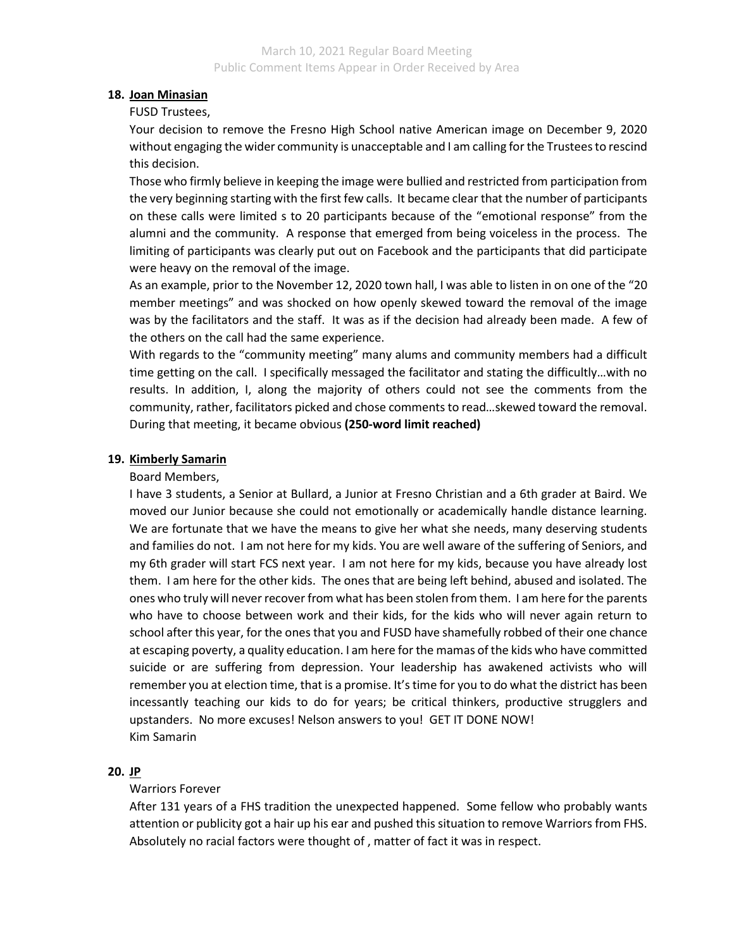## **18. Joan Minasian**

### FUSD Trustees,

Your decision to remove the Fresno High School native American image on December 9, 2020 without engaging the wider community is unacceptable and I am calling for the Trustees to rescind this decision.

Those who firmly believe in keeping the image were bullied and restricted from participation from the very beginning starting with the first few calls. It became clear that the number of participants on these calls were limited s to 20 participants because of the "emotional response" from the alumni and the community. A response that emerged from being voiceless in the process. The limiting of participants was clearly put out on Facebook and the participants that did participate were heavy on the removal of the image.

As an example, prior to the November 12, 2020 town hall, I was able to listen in on one of the "20 member meetings" and was shocked on how openly skewed toward the removal of the image was by the facilitators and the staff. It was as if the decision had already been made. A few of the others on the call had the same experience.

With regards to the "community meeting" many alums and community members had a difficult time getting on the call. I specifically messaged the facilitator and stating the difficultly…with no results. In addition, I, along the majority of others could not see the comments from the community, rather, facilitators picked and chose comments to read…skewed toward the removal. During that meeting, it became obvious **(250-word limit reached)**

## **19. Kimberly Samarin**

## Board Members,

I have 3 students, a Senior at Bullard, a Junior at Fresno Christian and a 6th grader at Baird. We moved our Junior because she could not emotionally or academically handle distance learning. We are fortunate that we have the means to give her what she needs, many deserving students and families do not. I am not here for my kids. You are well aware of the suffering of Seniors, and my 6th grader will start FCS next year. I am not here for my kids, because you have already lost them. I am here for the other kids. The ones that are being left behind, abused and isolated. The ones who truly will never recover from what has been stolen from them. I am here for the parents who have to choose between work and their kids, for the kids who will never again return to school after this year, for the ones that you and FUSD have shamefully robbed of their one chance at escaping poverty, a quality education. I am here for the mamas of the kids who have committed suicide or are suffering from depression. Your leadership has awakened activists who will remember you at election time, that is a promise. It's time for you to do what the district has been incessantly teaching our kids to do for years; be critical thinkers, productive strugglers and upstanders. No more excuses! Nelson answers to you! GET IT DONE NOW! Kim Samarin

## **20. JP**

## Warriors Forever

After 131 years of a FHS tradition the unexpected happened. Some fellow who probably wants attention or publicity got a hair up his ear and pushed this situation to remove Warriors from FHS. Absolutely no racial factors were thought of , matter of fact it was in respect.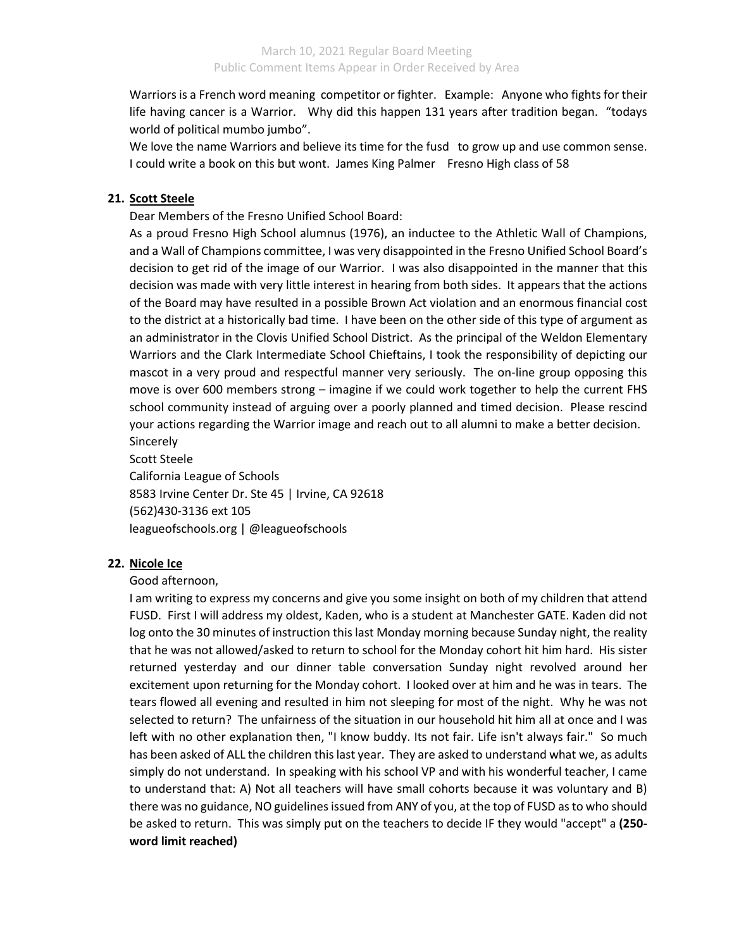Warriors is a French word meaning competitor or fighter. Example: Anyone who fights for their life having cancer is a Warrior. Why did this happen 131 years after tradition began. "todays world of political mumbo jumbo".

We love the name Warriors and believe its time for the fusd to grow up and use common sense. I could write a book on this but wont. James King Palmer Fresno High class of 58

## **21. Scott Steele**

Dear Members of the Fresno Unified School Board:

As a proud Fresno High School alumnus (1976), an inductee to the Athletic Wall of Champions, and a Wall of Champions committee, I was very disappointed in the Fresno Unified School Board's decision to get rid of the image of our Warrior. I was also disappointed in the manner that this decision was made with very little interest in hearing from both sides. It appears that the actions of the Board may have resulted in a possible Brown Act violation and an enormous financial cost to the district at a historically bad time. I have been on the other side of this type of argument as an administrator in the Clovis Unified School District. As the principal of the Weldon Elementary Warriors and the Clark Intermediate School Chieftains, I took the responsibility of depicting our mascot in a very proud and respectful manner very seriously. The on-line group opposing this move is over 600 members strong – imagine if we could work together to help the current FHS school community instead of arguing over a poorly planned and timed decision. Please rescind your actions regarding the Warrior image and reach out to all alumni to make a better decision. **Sincerely** 

Scott Steele California League of Schools 8583 Irvine Center Dr. Ste 45 | Irvine, CA 92618 (562)430-3136 ext 105 leagueofschools.org | @leagueofschools

### **22. Nicole Ice**

### Good afternoon,

I am writing to express my concerns and give you some insight on both of my children that attend FUSD. First I will address my oldest, Kaden, who is a student at Manchester GATE. Kaden did not log onto the 30 minutes of instruction this last Monday morning because Sunday night, the reality that he was not allowed/asked to return to school for the Monday cohort hit him hard. His sister returned yesterday and our dinner table conversation Sunday night revolved around her excitement upon returning for the Monday cohort. I looked over at him and he was in tears. The tears flowed all evening and resulted in him not sleeping for most of the night. Why he was not selected to return? The unfairness of the situation in our household hit him all at once and I was left with no other explanation then, "I know buddy. Its not fair. Life isn't always fair." So much has been asked of ALL the children this last year. They are asked to understand what we, as adults simply do not understand. In speaking with his school VP and with his wonderful teacher, I came to understand that: A) Not all teachers will have small cohorts because it was voluntary and B) there was no guidance, NO guidelines issued from ANY of you, at the top of FUSD as to who should be asked to return. This was simply put on the teachers to decide IF they would "accept" a **(250 word limit reached)**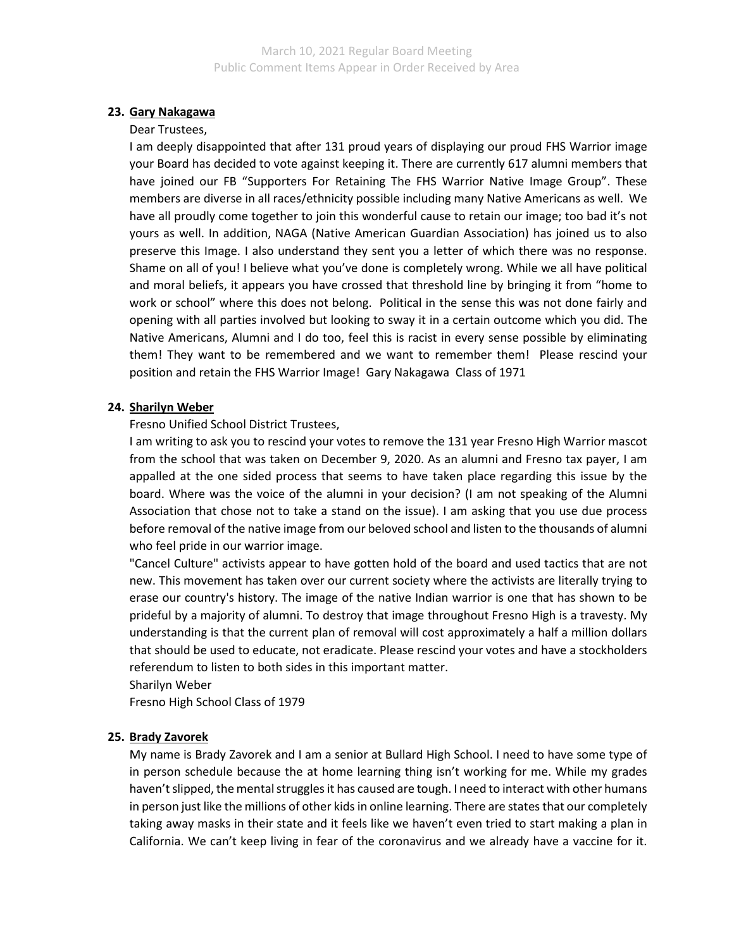## **23. Gary Nakagawa**

#### Dear Trustees,

I am deeply disappointed that after 131 proud years of displaying our proud FHS Warrior image your Board has decided to vote against keeping it. There are currently 617 alumni members that have joined our FB "Supporters For Retaining The FHS Warrior Native Image Group". These members are diverse in all races/ethnicity possible including many Native Americans as well. We have all proudly come together to join this wonderful cause to retain our image; too bad it's not yours as well. In addition, NAGA (Native American Guardian Association) has joined us to also preserve this Image. I also understand they sent you a letter of which there was no response. Shame on all of you! I believe what you've done is completely wrong. While we all have political and moral beliefs, it appears you have crossed that threshold line by bringing it from "home to work or school" where this does not belong. Political in the sense this was not done fairly and opening with all parties involved but looking to sway it in a certain outcome which you did. The Native Americans, Alumni and I do too, feel this is racist in every sense possible by eliminating them! They want to be remembered and we want to remember them! Please rescind your position and retain the FHS Warrior Image! Gary Nakagawa Class of 1971

### **24. Sharilyn Weber**

### Fresno Unified School District Trustees,

I am writing to ask you to rescind your votes to remove the 131 year Fresno High Warrior mascot from the school that was taken on December 9, 2020. As an alumni and Fresno tax payer, I am appalled at the one sided process that seems to have taken place regarding this issue by the board. Where was the voice of the alumni in your decision? (I am not speaking of the Alumni Association that chose not to take a stand on the issue). I am asking that you use due process before removal of the native image from our beloved school and listen to the thousands of alumni who feel pride in our warrior image.

"Cancel Culture" activists appear to have gotten hold of the board and used tactics that are not new. This movement has taken over our current society where the activists are literally trying to erase our country's history. The image of the native Indian warrior is one that has shown to be prideful by a majority of alumni. To destroy that image throughout Fresno High is a travesty. My understanding is that the current plan of removal will cost approximately a half a million dollars that should be used to educate, not eradicate. Please rescind your votes and have a stockholders referendum to listen to both sides in this important matter.

Sharilyn Weber

Fresno High School Class of 1979

### **25. Brady Zavorek**

My name is Brady Zavorek and I am a senior at Bullard High School. I need to have some type of in person schedule because the at home learning thing isn't working for me. While my grades haven't slipped, the mental struggles it has caused are tough. I need to interact with other humans in person just like the millions of other kids in online learning. There are states that our completely taking away masks in their state and it feels like we haven't even tried to start making a plan in California. We can't keep living in fear of the coronavirus and we already have a vaccine for it.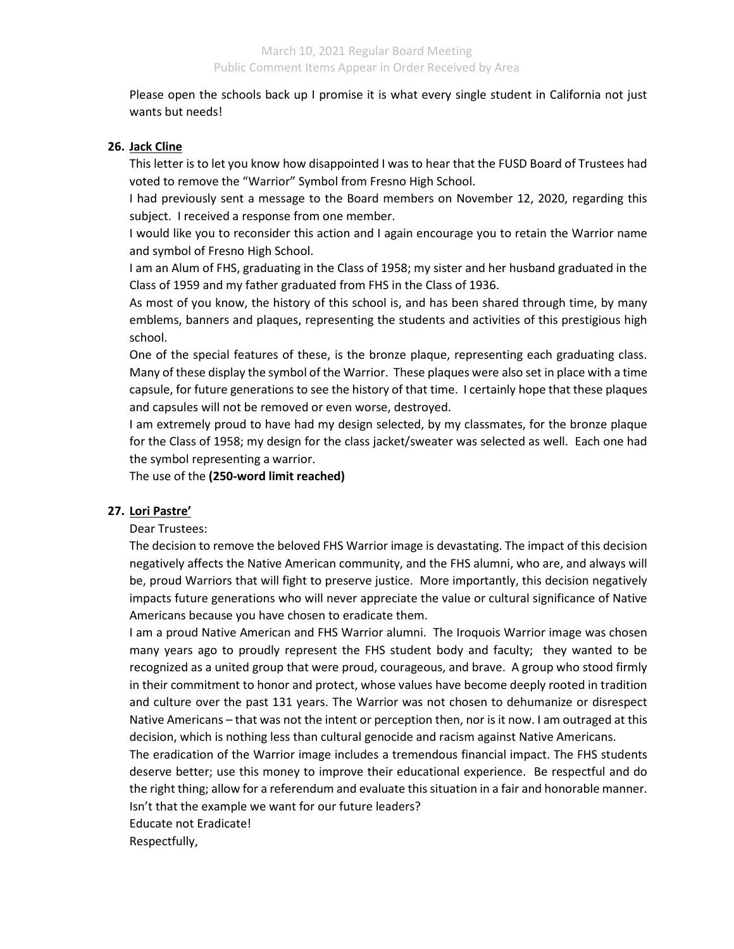Please open the schools back up I promise it is what every single student in California not just wants but needs!

## **26. Jack Cline**

This letter is to let you know how disappointed I was to hear that the FUSD Board of Trustees had voted to remove the "Warrior" Symbol from Fresno High School.

I had previously sent a message to the Board members on November 12, 2020, regarding this subject. I received a response from one member.

I would like you to reconsider this action and I again encourage you to retain the Warrior name and symbol of Fresno High School.

I am an Alum of FHS, graduating in the Class of 1958; my sister and her husband graduated in the Class of 1959 and my father graduated from FHS in the Class of 1936.

As most of you know, the history of this school is, and has been shared through time, by many emblems, banners and plaques, representing the students and activities of this prestigious high school.

One of the special features of these, is the bronze plaque, representing each graduating class. Many of these display the symbol of the Warrior. These plaques were also set in place with a time capsule, for future generations to see the history of that time. I certainly hope that these plaques and capsules will not be removed or even worse, destroyed.

I am extremely proud to have had my design selected, by my classmates, for the bronze plaque for the Class of 1958; my design for the class jacket/sweater was selected as well. Each one had the symbol representing a warrior.

The use of the **(250-word limit reached)**

## **27. Lori Pastre'**

Dear Trustees:

The decision to remove the beloved FHS Warrior image is devastating. The impact of this decision negatively affects the Native American community, and the FHS alumni, who are, and always will be, proud Warriors that will fight to preserve justice. More importantly, this decision negatively impacts future generations who will never appreciate the value or cultural significance of Native Americans because you have chosen to eradicate them.

I am a proud Native American and FHS Warrior alumni. The Iroquois Warrior image was chosen many years ago to proudly represent the FHS student body and faculty; they wanted to be recognized as a united group that were proud, courageous, and brave. A group who stood firmly in their commitment to honor and protect, whose values have become deeply rooted in tradition and culture over the past 131 years. The Warrior was not chosen to dehumanize or disrespect Native Americans – that was not the intent or perception then, nor is it now. I am outraged at this decision, which is nothing less than cultural genocide and racism against Native Americans.

The eradication of the Warrior image includes a tremendous financial impact. The FHS students deserve better; use this money to improve their educational experience. Be respectful and do the right thing; allow for a referendum and evaluate this situation in a fair and honorable manner. Isn't that the example we want for our future leaders?

Educate not Eradicate!

Respectfully,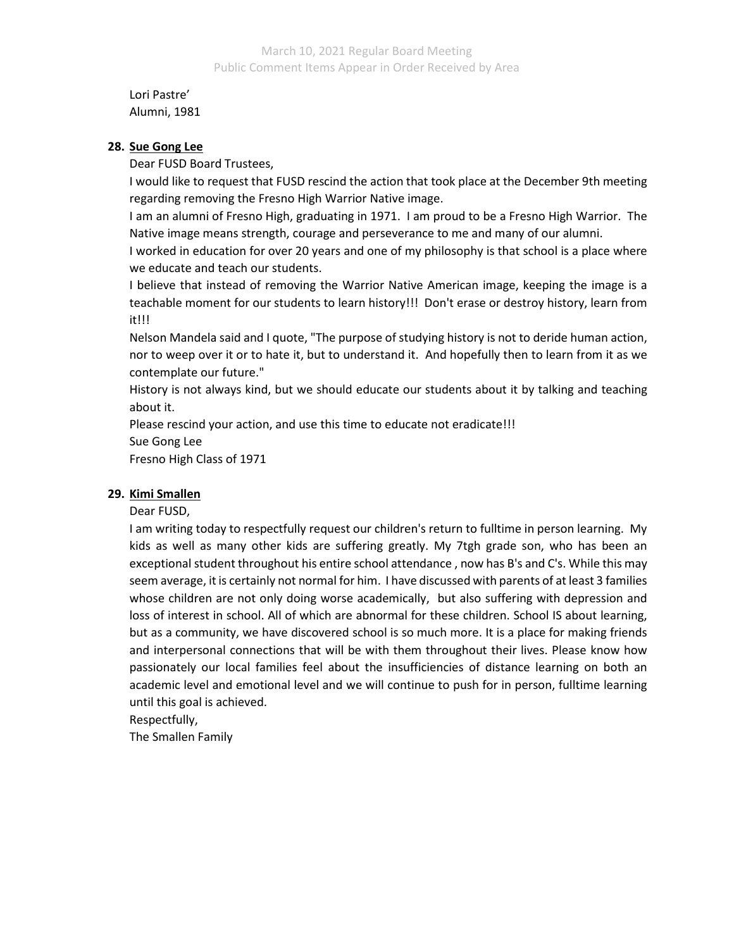Lori Pastre' Alumni, 1981

## **28. Sue Gong Lee**

Dear FUSD Board Trustees,

I would like to request that FUSD rescind the action that took place at the December 9th meeting regarding removing the Fresno High Warrior Native image.

I am an alumni of Fresno High, graduating in 1971. I am proud to be a Fresno High Warrior. The Native image means strength, courage and perseverance to me and many of our alumni.

I worked in education for over 20 years and one of my philosophy is that school is a place where we educate and teach our students.

I believe that instead of removing the Warrior Native American image, keeping the image is a teachable moment for our students to learn history!!! Don't erase or destroy history, learn from it!!!

Nelson Mandela said and I quote, "The purpose of studying history is not to deride human action, nor to weep over it or to hate it, but to understand it. And hopefully then to learn from it as we contemplate our future."

History is not always kind, but we should educate our students about it by talking and teaching about it.

Please rescind your action, and use this time to educate not eradicate!!!

Sue Gong Lee

Fresno High Class of 1971

# **29. Kimi Smallen**

## Dear FUSD,

I am writing today to respectfully request our children's return to fulltime in person learning. My kids as well as many other kids are suffering greatly. My 7tgh grade son, who has been an exceptional student throughout his entire school attendance , now has B's and C's. While this may seem average, it is certainly not normal for him. I have discussed with parents of at least 3 families whose children are not only doing worse academically, but also suffering with depression and loss of interest in school. All of which are abnormal for these children. School IS about learning, but as a community, we have discovered school is so much more. It is a place for making friends and interpersonal connections that will be with them throughout their lives. Please know how passionately our local families feel about the insufficiencies of distance learning on both an academic level and emotional level and we will continue to push for in person, fulltime learning until this goal is achieved.

Respectfully,

The Smallen Family